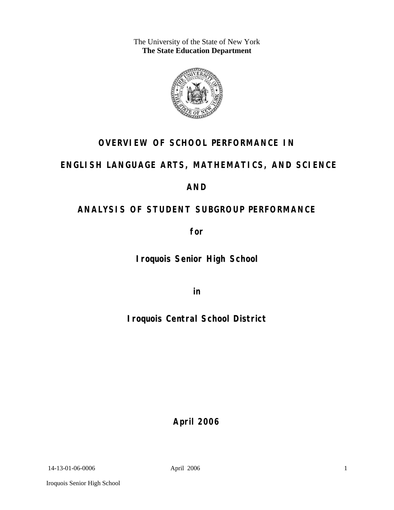The University of the State of New York **The State Education Department** 



# **OVERVIEW OF SCHOOL PERFORMANCE IN**

# **ENGLISH LANGUAGE ARTS, MATHEMATICS, AND SCIENCE**

## **AND**

# **ANALYSIS OF STUDENT SUBGROUP PERFORMANCE**

**for** 

**Iroquois Senior High School**

**in** 

**Iroquois Central School District**

**April 2006**

14-13-01-06-0006 April 2006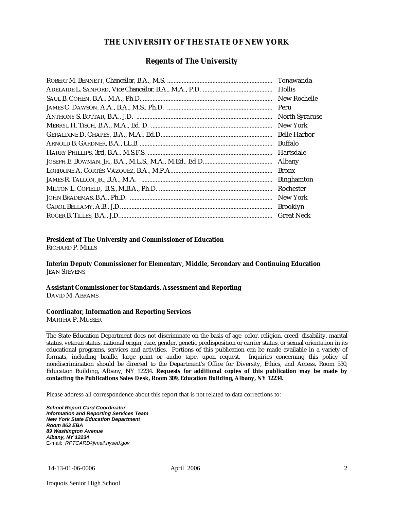### **THE UNIVERSITY OF THE STATE OF NEW YORK**

### **Regents of The University**

| Tonawanda             |
|-----------------------|
| <b>Hollis</b>         |
| New Rochelle          |
|                       |
| <b>North Syracuse</b> |
| New York              |
|                       |
| Buffalo               |
| Hartsdale             |
| Albany                |
| <b>Bronx</b>          |
| <b>Binghamton</b>     |
| Rochester             |
| New York              |
| <b>Brooklyn</b>       |
| <b>Great Neck</b>     |

#### **President of The University and Commissioner of Education**

RICHARD P. MILLS

**Interim Deputy Commissioner for Elementary, Middle, Secondary and Continuing Education**  JEAN STEVENS

#### **Assistant Commissioner for Standards, Assessment and Reporting**  DAVID M. ABRAMS

#### **Coordinator, Information and Reporting Services**

MARTHA P. MUSSER

The State Education Department does not discriminate on the basis of age, color, religion, creed, disability, marital status, veteran status, national origin, race, gender, genetic predisposition or carrier status, or sexual orientation in its educational programs, services and activities. Portions of this publication can be made available in a variety of formats, including braille, large print or audio tape, upon request. Inquiries concerning this policy of nondiscrimination should be directed to the Department's Office for Diversity, Ethics, and Access, Room 530, Education Building, Albany, NY 12234. **Requests for additional copies of this publication may be made by contacting the Publications Sales Desk, Room 309, Education Building, Albany, NY 12234.** 

Please address all correspondence about this report that is not related to data corrections to:

*School Report Card Coordinator Information and Reporting Services Team New York State Education Department Room 863 EBA 89 Washington Avenue Albany, NY 12234*  E-mail: *RPTCARD@mail.nysed.gov*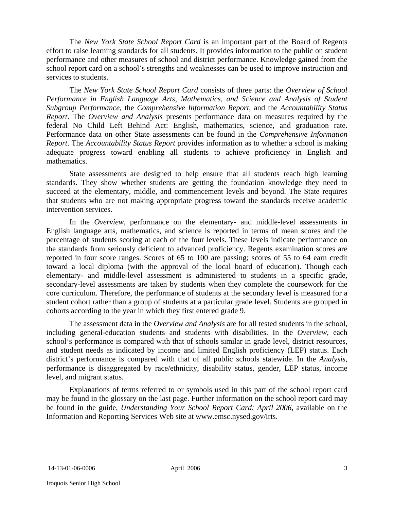The *New York State School Report Card* is an important part of the Board of Regents effort to raise learning standards for all students. It provides information to the public on student performance and other measures of school and district performance. Knowledge gained from the school report card on a school's strengths and weaknesses can be used to improve instruction and services to students.

The *New York State School Report Card* consists of three parts: the *Overview of School Performance in English Language Arts, Mathematics, and Science and Analysis of Student Subgroup Performance,* the *Comprehensive Information Report,* and the *Accountability Status Report*. The *Overview and Analysis* presents performance data on measures required by the federal No Child Left Behind Act: English, mathematics, science, and graduation rate. Performance data on other State assessments can be found in the *Comprehensive Information Report*. The *Accountability Status Report* provides information as to whether a school is making adequate progress toward enabling all students to achieve proficiency in English and mathematics.

State assessments are designed to help ensure that all students reach high learning standards. They show whether students are getting the foundation knowledge they need to succeed at the elementary, middle, and commencement levels and beyond. The State requires that students who are not making appropriate progress toward the standards receive academic intervention services.

In the *Overview*, performance on the elementary- and middle-level assessments in English language arts, mathematics, and science is reported in terms of mean scores and the percentage of students scoring at each of the four levels. These levels indicate performance on the standards from seriously deficient to advanced proficiency. Regents examination scores are reported in four score ranges. Scores of 65 to 100 are passing; scores of 55 to 64 earn credit toward a local diploma (with the approval of the local board of education). Though each elementary- and middle-level assessment is administered to students in a specific grade, secondary-level assessments are taken by students when they complete the coursework for the core curriculum. Therefore, the performance of students at the secondary level is measured for a student cohort rather than a group of students at a particular grade level. Students are grouped in cohorts according to the year in which they first entered grade 9.

The assessment data in the *Overview and Analysis* are for all tested students in the school, including general-education students and students with disabilities. In the *Overview*, each school's performance is compared with that of schools similar in grade level, district resources, and student needs as indicated by income and limited English proficiency (LEP) status. Each district's performance is compared with that of all public schools statewide. In the *Analysis*, performance is disaggregated by race/ethnicity, disability status, gender, LEP status, income level, and migrant status.

Explanations of terms referred to or symbols used in this part of the school report card may be found in the glossary on the last page. Further information on the school report card may be found in the guide, *Understanding Your School Report Card: April 2006*, available on the Information and Reporting Services Web site at www.emsc.nysed.gov/irts.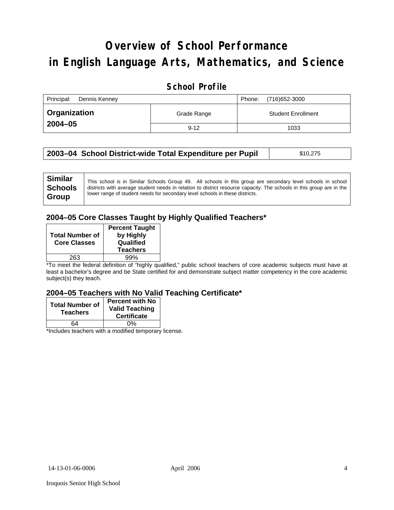# **Overview of School Performance in English Language Arts, Mathematics, and Science**

### **School Profile**

| Principal:<br>Dennis Kenney | (716) 652-3000<br>Phone: |                           |
|-----------------------------|--------------------------|---------------------------|
| <b>Organization</b>         | Grade Range              | <b>Student Enrollment</b> |
| $2004 - 05$                 | $9 - 12$                 | 1033                      |

|  | 2003–04 School District-wide Total Expenditure per Pupil | \$10,275 |
|--|----------------------------------------------------------|----------|
|--|----------------------------------------------------------|----------|

### **2004–05 Core Classes Taught by Highly Qualified Teachers\***

| <b>Total Number of</b><br><b>Core Classes</b> | <b>Percent Taught</b><br>by Highly<br>Qualified<br><b>Teachers</b> |
|-----------------------------------------------|--------------------------------------------------------------------|
| 263                                           | 99%                                                                |

\*To meet the federal definition of "highly qualified," public school teachers of core academic subjects must have at least a bachelor's degree and be State certified for and demonstrate subject matter competency in the core academic subject(s) they teach.

#### **2004–05 Teachers with No Valid Teaching Certificate\***

| <b>Total Number of</b><br><b>Teachers</b> | <b>Percent with No</b><br><b>Valid Teaching</b><br><b>Certificate</b> |
|-------------------------------------------|-----------------------------------------------------------------------|
| 64                                        | 0%                                                                    |
|                                           |                                                                       |

\*Includes teachers with a modified temporary license.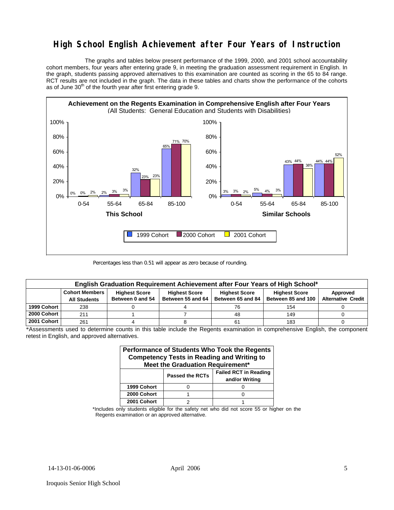### **High School English Achievement after Four Years of Instruction**

 The graphs and tables below present performance of the 1999, 2000, and 2001 school accountability cohort members, four years after entering grade 9, in meeting the graduation assessment requirement in English. In the graph, students passing approved alternatives to this examination are counted as scoring in the 65 to 84 range. RCT results are not included in the graph. The data in these tables and charts show the performance of the cohorts as of June 30<sup>th</sup> of the fourth year after first entering grade 9.



Percentages less than 0.51 will appear as zero because of rounding.

| English Graduation Requirement Achievement after Four Years of High School* |                                                                                                                                   |                  |                   |                   |                    |                           |  |  |  |
|-----------------------------------------------------------------------------|-----------------------------------------------------------------------------------------------------------------------------------|------------------|-------------------|-------------------|--------------------|---------------------------|--|--|--|
|                                                                             | <b>Cohort Members</b><br><b>Highest Score</b><br><b>Highest Score</b><br><b>Highest Score</b><br><b>Highest Score</b><br>Approved |                  |                   |                   |                    |                           |  |  |  |
|                                                                             | <b>All Students</b>                                                                                                               | Between 0 and 54 | Between 55 and 64 | Between 65 and 84 | Between 85 and 100 | <b>Alternative Credit</b> |  |  |  |
| 1999 Cohort                                                                 | 238                                                                                                                               |                  |                   | 76                | 154                |                           |  |  |  |
| 2000 Cohort                                                                 | 211                                                                                                                               |                  |                   | 48                | 149                |                           |  |  |  |
| 2001 Cohort                                                                 | 261                                                                                                                               |                  |                   | 61                | 183                |                           |  |  |  |

\*Assessments used to determine counts in this table include the Regents examination in comprehensive English, the component retest in English, and approved alternatives.

| Performance of Students Who Took the Regents<br><b>Competency Tests in Reading and Writing to</b><br>Meet the Graduation Requirement* |                                                                          |  |  |  |  |  |  |
|---------------------------------------------------------------------------------------------------------------------------------------|--------------------------------------------------------------------------|--|--|--|--|--|--|
|                                                                                                                                       | <b>Failed RCT in Reading</b><br><b>Passed the RCTs</b><br>and/or Writing |  |  |  |  |  |  |
| 1999 Cohort                                                                                                                           |                                                                          |  |  |  |  |  |  |
| 2000 Cohort                                                                                                                           |                                                                          |  |  |  |  |  |  |
| 2001 Cohort                                                                                                                           |                                                                          |  |  |  |  |  |  |

\*Includes only students eligible for the safety net who did not score 55 or higher on the Regents examination or an approved alternative.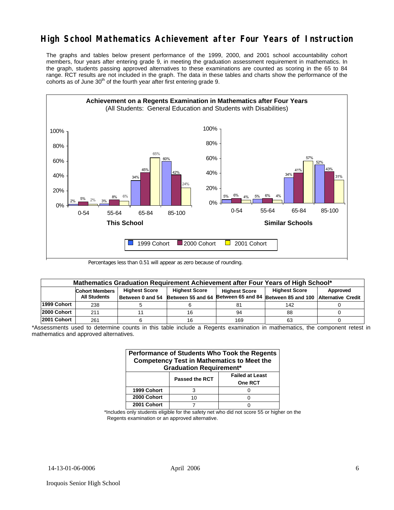## **High School Mathematics Achievement after Four Years of Instruction**

The graphs and tables below present performance of the 1999, 2000, and 2001 school accountability cohort members, four years after entering grade 9, in meeting the graduation assessment requirement in mathematics. In the graph, students passing approved alternatives to these examinations are counted as scoring in the 65 to 84 range. RCT results are not included in the graph. The data in these tables and charts show the performance of the cohorts as of June  $30<sup>th</sup>$  of the fourth year after first entering grade 9.



Percentages less than 0.51 will appear as zero because of rounding.

| Mathematics Graduation Requirement Achievement after Four Years of High School* |                                                                                                                                   |                  |    |     |                                                                           |  |  |  |  |
|---------------------------------------------------------------------------------|-----------------------------------------------------------------------------------------------------------------------------------|------------------|----|-----|---------------------------------------------------------------------------|--|--|--|--|
|                                                                                 | <b>Highest Score</b><br><b>Highest Score</b><br><b>Highest Score</b><br>Approved<br><b>Cohort Members</b><br><b>Highest Score</b> |                  |    |     |                                                                           |  |  |  |  |
|                                                                                 | <b>All Students</b>                                                                                                               | Between 0 and 54 |    |     | Between 55 and 64 Between 65 and 84 Between 85 and 100 Alternative Credit |  |  |  |  |
| 1999 Cohort                                                                     | 238                                                                                                                               |                  |    |     | 142                                                                       |  |  |  |  |
| 2000 Cohort                                                                     | 211                                                                                                                               |                  | 16 | 94  | 88                                                                        |  |  |  |  |
| 2001 Cohort                                                                     | 261                                                                                                                               |                  | 16 | 169 | 63                                                                        |  |  |  |  |

\*Assessments used to determine counts in this table include a Regents examination in mathematics, the component retest in mathematics and approved alternatives.

| Performance of Students Who Took the Regents<br><b>Competency Test in Mathematics to Meet the</b><br><b>Graduation Requirement*</b> |                                                                   |  |  |  |  |  |  |  |
|-------------------------------------------------------------------------------------------------------------------------------------|-------------------------------------------------------------------|--|--|--|--|--|--|--|
|                                                                                                                                     | <b>Failed at Least</b><br><b>Passed the RCT</b><br><b>One RCT</b> |  |  |  |  |  |  |  |
| 1999 Cohort                                                                                                                         |                                                                   |  |  |  |  |  |  |  |
| 2000 Cohort                                                                                                                         | 10                                                                |  |  |  |  |  |  |  |
| 2001 Cohort                                                                                                                         |                                                                   |  |  |  |  |  |  |  |

\*Includes only students eligible for the safety net who did not score 55 or higher on the Regents examination or an approved alternative.

Iroquois Senior High School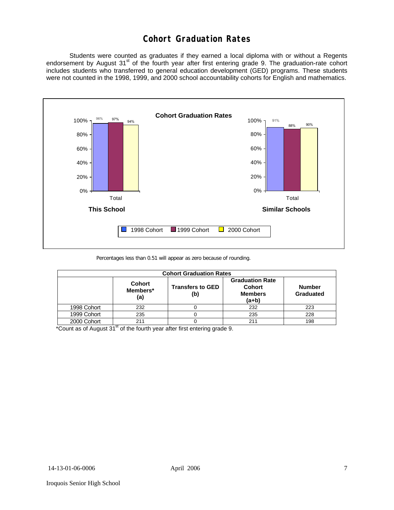### **Cohort Graduation Rates**

 Students were counted as graduates if they earned a local diploma with or without a Regents endorsement by August 31<sup>st</sup> of the fourth year after first entering grade 9. The graduation-rate cohort includes students who transferred to general education development (GED) programs. These students were not counted in the 1998, 1999, and 2000 school accountability cohorts for English and mathematics.



Percentages less than 0.51 will appear as zero because of rounding.

| <b>Cohort Graduation Rates</b> |                                  |                                |                                                                      |                            |  |  |  |  |
|--------------------------------|----------------------------------|--------------------------------|----------------------------------------------------------------------|----------------------------|--|--|--|--|
|                                | <b>Cohort</b><br>Members*<br>(a) | <b>Transfers to GED</b><br>(b) | <b>Graduation Rate</b><br><b>Cohort</b><br><b>Members</b><br>$(a+b)$ | <b>Number</b><br>Graduated |  |  |  |  |
| 1998 Cohort                    | 232                              |                                | 232                                                                  | 223                        |  |  |  |  |
| 1999 Cohort                    | 235                              |                                | 235                                                                  | 228                        |  |  |  |  |
| 2000 Cohort                    | 211                              |                                | 211                                                                  | 198                        |  |  |  |  |

\*Count as of August  $31<sup>st</sup>$  of the fourth year after first entering grade 9.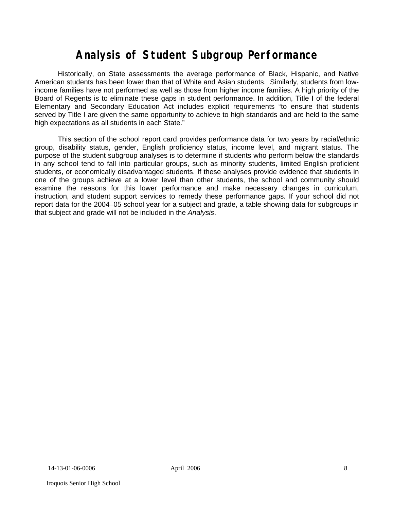# **Analysis of Student Subgroup Performance**

Historically, on State assessments the average performance of Black, Hispanic, and Native American students has been lower than that of White and Asian students. Similarly, students from lowincome families have not performed as well as those from higher income families. A high priority of the Board of Regents is to eliminate these gaps in student performance. In addition, Title I of the federal Elementary and Secondary Education Act includes explicit requirements "to ensure that students served by Title I are given the same opportunity to achieve to high standards and are held to the same high expectations as all students in each State."

This section of the school report card provides performance data for two years by racial/ethnic group, disability status, gender, English proficiency status, income level, and migrant status. The purpose of the student subgroup analyses is to determine if students who perform below the standards in any school tend to fall into particular groups, such as minority students, limited English proficient students, or economically disadvantaged students. If these analyses provide evidence that students in one of the groups achieve at a lower level than other students, the school and community should examine the reasons for this lower performance and make necessary changes in curriculum, instruction, and student support services to remedy these performance gaps. If your school did not report data for the 2004–05 school year for a subject and grade, a table showing data for subgroups in that subject and grade will not be included in the *Analysis*.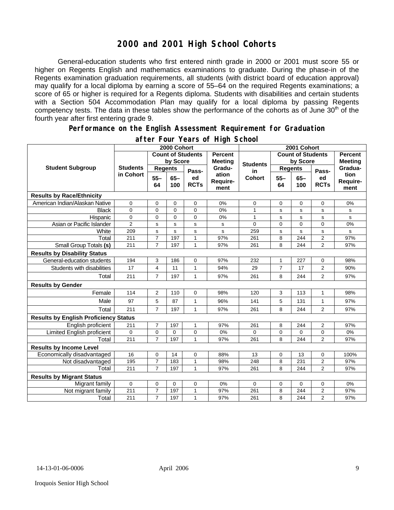### **2000 and 2001 High School Cohorts**

General-education students who first entered ninth grade in 2000 or 2001 must score 55 or higher on Regents English and mathematics examinations to graduate. During the phase-in of the Regents examination graduation requirements, all students (with district board of education approval) may qualify for a local diploma by earning a score of 55–64 on the required Regents examinations; a score of 65 or higher is required for a Regents diploma. Students with disabilities and certain students with a Section 504 Accommodation Plan may qualify for a local diploma by passing Regents competency tests. The data in these tables show the performance of the cohorts as of June 30<sup>th</sup> of the fourth year after first entering grade 9.

#### **Performance on the English Assessment Requirement for Graduation**

|                                              |                 | 2000 Cohort              |               |                   |                           | 2001 Cohort     |                |                |                   |                          |
|----------------------------------------------|-----------------|--------------------------|---------------|-------------------|---------------------------|-----------------|----------------|----------------|-------------------|--------------------------|
|                                              |                 | <b>Count of Students</b> |               | <b>Percent</b>    | <b>Count of Students</b>  |                 |                | <b>Percent</b> |                   |                          |
|                                              |                 |                          | by Score      |                   | <b>Meeting</b>            | <b>Students</b> | by Score       |                | <b>Meeting</b>    |                          |
| <b>Student Subgroup</b>                      | <b>Students</b> | <b>Regents</b>           |               | Pass-             | Gradu-                    | in              |                | <b>Regents</b> | Pass-             | Gradua-                  |
|                                              | in Cohort       | $55 -$<br>64             | $65 -$<br>100 | ed<br><b>RCTs</b> | ation<br>Require-<br>ment | <b>Cohort</b>   | $55 -$<br>64   | $65-$<br>100   | ed<br><b>RCTs</b> | tion<br>Require-<br>ment |
| <b>Results by Race/Ethnicity</b>             |                 |                          |               |                   |                           |                 |                |                |                   |                          |
| American Indian/Alaskan Native               | 0               | $\mathbf 0$              | $\mathbf 0$   | 0                 | 0%                        | 0               | 0              | $\mathbf 0$    | 0                 | 0%                       |
| <b>Black</b>                                 | $\Omega$        | 0                        | $\mathbf{0}$  | $\overline{0}$    | 0%                        | 1               | s              | s              | s                 | s                        |
| Hispanic                                     | 0               | 0                        | 0             | 0                 | 0%                        | $\mathbf{1}$    | s              | s              | s                 | s                        |
| Asian or Pacific Islander                    | $\overline{2}$  | S                        | $\mathbf s$   | s                 | s                         | 0               | $\overline{0}$ | $\Omega$       | 0                 | 0%                       |
| White                                        | 209             | s                        | s             | s                 | s                         | 259             | s              | s              | s                 | s                        |
| Total                                        | 211             | $\overline{7}$           | 197           | $\mathbf{1}$      | 97%                       | 261             | 8              | 244            | $\overline{2}$    | 97%                      |
| Small Group Totals (s)                       | 211             | $\overline{7}$           | 197           | $\mathbf{1}$      | 97%                       | 261             | 8              | 244            | $\overline{2}$    | 97%                      |
| <b>Results by Disability Status</b>          |                 |                          |               |                   |                           |                 |                |                |                   |                          |
| General-education students                   | 194             | 3                        | 186           | 0                 | 97%                       | 232             | 1              | 227            | 0                 | 98%                      |
| Students with disabilities                   | 17              | 4                        | 11            | $\mathbf{1}$      | 94%                       | 29              | $\overline{7}$ | 17             | 2                 | 90%                      |
| Total                                        | 211             | $\overline{7}$           | 197           | $\mathbf{1}$      | 97%                       | 261             | 8              | 244            | 2                 | 97%                      |
| <b>Results by Gender</b>                     |                 |                          |               |                   |                           |                 |                |                |                   |                          |
| Female                                       | 114             | $\overline{2}$           | 110           | 0                 | 98%                       | 120             | 3              | 113            | $\mathbf{1}$      | 98%                      |
| Male                                         | 97              | 5                        | 87            | $\mathbf{1}$      | 96%                       | 141             | 5              | 131            | $\mathbf{1}$      | 97%                      |
| Total                                        | 211             | $\overline{7}$           | 197           | $\mathbf{1}$      | 97%                       | 261             | 8              | 244            | $\overline{2}$    | 97%                      |
| <b>Results by English Proficiency Status</b> |                 |                          |               |                   |                           |                 |                |                |                   |                          |
| English proficient                           | 211             | $\overline{7}$           | 197           | 1                 | 97%                       | 261             | 8              | 244            | 2                 | 97%                      |
| Limited English proficient                   | 0               | $\mathbf 0$              | 0             | 0                 | 0%                        | 0               | 0              | 0              | 0                 | 0%                       |
| Total                                        | 211             | $\overline{7}$           | 197           | 1                 | 97%                       | 261             | 8              | 244            | $\overline{2}$    | 97%                      |
| <b>Results by Income Level</b>               |                 |                          |               |                   |                           |                 |                |                |                   |                          |
| Economically disadvantaged                   | 16              | 0                        | 14            | 0                 | 88%                       | 13              | 0              | 13             | 0                 | 100%                     |
| Not disadvantaged                            | 195             | $\overline{7}$           | 183           | $\mathbf{1}$      | 98%                       | 248             | 8              | 231            | 2                 | 97%                      |
| Total                                        | 211             | $\overline{7}$           | 197           | $\mathbf{1}$      | 97%                       | 261             | 8              | 244            | $\overline{2}$    | 97%                      |
| <b>Results by Migrant Status</b>             |                 |                          |               |                   |                           |                 |                |                |                   |                          |
| Migrant family                               | $\mathbf 0$     | $\mathbf 0$              | 0             | 0                 | 0%                        | 0               | 0              | $\Omega$       | 0                 | 0%                       |
| Not migrant family                           | 211             | 7                        | 197           | 1                 | 97%                       | 261             | 8              | 244            | 2                 | 97%                      |
| Total                                        | 211             | $\overline{7}$           | 197           | $\mathbf{1}$      | 97%                       | 261             | 8              | 244            | $\overline{2}$    | 97%                      |

#### **after Four Years of High School**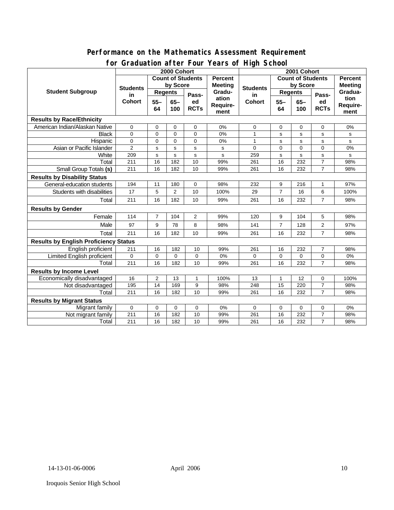#### **Performance on the Mathematics Assessment Requirement for Graduation after Four Years of High School**

|                                              | 21 GGGGC1011 GTCOL 1 OG1<br><b>Tears of Fight Seriour</b><br>2000 Cohort |                          |                |                |                | 2001 Cohort           |                          |             |                |                                  |
|----------------------------------------------|--------------------------------------------------------------------------|--------------------------|----------------|----------------|----------------|-----------------------|--------------------------|-------------|----------------|----------------------------------|
| <b>Student Subgroup</b>                      |                                                                          | <b>Count of Students</b> |                |                | <b>Percent</b> |                       | <b>Count of Students</b> |             |                | <b>Percent</b><br><b>Meeting</b> |
|                                              | <b>Students</b><br>in.<br>Cohort                                         | by Score                 |                |                | <b>Meeting</b> |                       | by Score                 |             |                |                                  |
|                                              |                                                                          | <b>Regents</b>           |                | Pass-          | Gradu-         | <b>Students</b><br>in | <b>Regents</b>           |             | Pass-          | Gradua-                          |
|                                              |                                                                          | $55 -$<br>$65 -$         |                | ed             | ation          | <b>Cohort</b>         | $55 -$                   | $65-$       | ed             | tion                             |
|                                              |                                                                          | 64                       | 100            | <b>RCTs</b>    | Require-       |                       | 64                       | 100         | <b>RCTs</b>    | <b>Require-</b>                  |
|                                              |                                                                          |                          |                |                | ment           |                       |                          |             |                | ment                             |
| <b>Results by Race/Ethnicity</b>             |                                                                          |                          |                |                |                |                       |                          |             |                |                                  |
| American Indian/Alaskan Native               | $\mathbf 0$                                                              | 0                        | $\mathbf 0$    | $\mathbf 0$    | 0%             | 0                     | 0                        | 0           | $\mathbf 0$    | 0%                               |
| <b>Black</b>                                 | $\Omega$                                                                 | $\mathbf 0$              | $\Omega$       | $\Omega$       | 0%             | $\mathbf{1}$          | s                        | $\mathbf s$ | s              | s                                |
| Hispanic                                     | $\mathbf 0$                                                              | $\mathbf 0$              | $\Omega$       | 0              | 0%             | 1                     | s                        | $\mathbf s$ | s              | s                                |
| Asian or Pacific Islander                    | $\overline{2}$                                                           | s                        | s              | s              | s              | $\Omega$              | $\mathbf 0$              | $\mathbf 0$ | 0              | 0%                               |
| White                                        | 209                                                                      | s                        | s              | s              | s              | 259                   | s                        | $\mathbf s$ | s              | s                                |
| Total                                        | 211                                                                      | 16                       | 182            | 10             | 99%            | 261                   | 16                       | 232         | $\overline{7}$ | 98%                              |
| Small Group Totals (s)                       | 211                                                                      | 16                       | 182            | 10             | 99%            | 261                   | 16                       | 232         | $\overline{7}$ | 98%                              |
| <b>Results by Disability Status</b>          |                                                                          |                          |                |                |                |                       |                          |             |                |                                  |
| General-education students                   | 194                                                                      | 11                       | 180            | 0              | 98%            | 232                   | 9                        | 216         | 1              | 97%                              |
| Students with disabilities                   | 17                                                                       | 5                        | $\overline{2}$ | 10             | 100%           | 29                    | $\overline{7}$           | 16          | 6              | 100%                             |
| Total                                        | 211                                                                      | 16                       | 182            | 10             | 99%            | 261                   | 16                       | 232         | $\overline{7}$ | 98%                              |
| <b>Results by Gender</b>                     |                                                                          |                          |                |                |                |                       |                          |             |                |                                  |
| Female                                       | 114                                                                      | $\overline{7}$           | 104            | $\overline{2}$ | 99%            | 120                   | 9                        | 104         | 5              | 98%                              |
| Male                                         | 97                                                                       | 9                        | 78             | 8              | 98%            | 141                   | $\overline{7}$           | 128         | $\overline{2}$ | 97%                              |
| Total                                        | 211                                                                      | 16                       | 182            | 10             | 99%            | 261                   | 16                       | 232         | $\overline{7}$ | 98%                              |
| <b>Results by English Proficiency Status</b> |                                                                          |                          |                |                |                |                       |                          |             |                |                                  |
| English proficient                           | 211                                                                      | 16                       | 182            | 10             | 99%            | 261                   | 16                       | 232         | $\overline{7}$ | 98%                              |
| Limited English proficient                   | $\mathbf 0$                                                              | $\mathbf 0$              | 0              | 0              | 0%             | 0                     | 0                        | $\mathbf 0$ | 0              | 0%                               |
| Total                                        | 211                                                                      | 16                       | 182            | 10             | 99%            | 261                   | 16                       | 232         | $\overline{7}$ | 98%                              |
| <b>Results by Income Level</b>               |                                                                          |                          |                |                |                |                       |                          |             |                |                                  |
| Economically disadvantaged                   | 16                                                                       | $\overline{2}$           | 13             | 1              | 100%           | 13                    | 1                        | 12          | 0              | 100%                             |
| Not disadvantaged                            | 195                                                                      | 14                       | 169            | 9              | 98%            | 248                   | 15                       | 220         | $\overline{7}$ | 98%                              |
| Total                                        | 211                                                                      | 16                       | 182            | 10             | 99%            | 261                   | 16                       | 232         | $\overline{7}$ | 98%                              |
| <b>Results by Migrant Status</b>             |                                                                          |                          |                |                |                |                       |                          |             |                |                                  |
| Migrant family                               | 0                                                                        | 0                        | 0              | 0              | 0%             | $\Omega$              | 0                        | 0           | 0              | 0%                               |
| Not migrant family                           | 211                                                                      | 16                       | 182            | 10             | 99%            | 261                   | 16                       | 232         | $\overline{7}$ | 98%                              |
| Total                                        | 211                                                                      | 16                       | 182            | 10             | 99%            | 261                   | 16                       | 232         | $\overline{7}$ | 98%                              |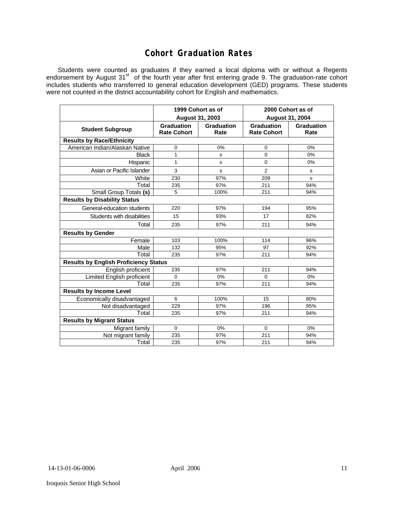### **Cohort Graduation Rates**

Students were counted as graduates if they earned a local diploma with or without a Regents endorsement by August 31<sup>st</sup> of the fourth year after first entering grade 9. The graduation-rate cohort includes students who transferred to general education development (GED) programs. These students were not counted in the district accountability cohort for English and mathematics.

|                                              | August 31, 2003                  | 1999 Cohort as of  | 2000 Cohort as of<br><b>August 31, 2004</b> |                    |  |  |  |  |  |
|----------------------------------------------|----------------------------------|--------------------|---------------------------------------------|--------------------|--|--|--|--|--|
| <b>Student Subgroup</b>                      | Graduation<br><b>Rate Cohort</b> | Graduation<br>Rate | Graduation<br><b>Rate Cohort</b>            | Graduation<br>Rate |  |  |  |  |  |
| <b>Results by Race/Ethnicity</b>             |                                  |                    |                                             |                    |  |  |  |  |  |
| American Indian/Alaskan Native               | 0                                | 0%                 | 0                                           | 0%                 |  |  |  |  |  |
| <b>Black</b>                                 | 1                                | s                  | 0                                           | 0%                 |  |  |  |  |  |
| Hispanic                                     | $\mathbf{1}$                     | s                  | 0                                           | 0%                 |  |  |  |  |  |
| Asian or Pacific Islander                    | 3                                | s                  | $\overline{2}$                              | s                  |  |  |  |  |  |
| White                                        | 230                              | 97%                | 209                                         | S                  |  |  |  |  |  |
| Total                                        | 235                              | 97%                | 211                                         | 94%                |  |  |  |  |  |
| Small Group Totals (s)                       | 5                                | 100%               | 211                                         | 94%                |  |  |  |  |  |
| <b>Results by Disability Status</b>          |                                  |                    |                                             |                    |  |  |  |  |  |
| General-education students                   | 220                              | 97%                | 194                                         | 95%                |  |  |  |  |  |
| Students with disabilities                   | 15                               | 93%                | 17                                          | 82%                |  |  |  |  |  |
| Total                                        | 235                              | 97%                | 211                                         | 94%                |  |  |  |  |  |
| <b>Results by Gender</b>                     |                                  |                    |                                             |                    |  |  |  |  |  |
| Female                                       | 103                              | 100%               | 114                                         | 96%                |  |  |  |  |  |
| Male                                         | 132                              | 95%                | 97                                          | 92%                |  |  |  |  |  |
| Total                                        | 235                              | 97%                | 211                                         | 94%                |  |  |  |  |  |
| <b>Results by English Proficiency Status</b> |                                  |                    |                                             |                    |  |  |  |  |  |
| English proficient                           | 235                              | 97%                | 211                                         | 94%                |  |  |  |  |  |
| Limited English proficient                   | $\mathbf 0$                      | 0%                 | 0                                           | 0%                 |  |  |  |  |  |
| Total                                        | 235                              | 97%                | 211                                         | 94%                |  |  |  |  |  |
| <b>Results by Income Level</b>               |                                  |                    |                                             |                    |  |  |  |  |  |
| Economically disadvantaged                   | 6                                | 100%               | 15                                          | 80%                |  |  |  |  |  |
| Not disadvantaged                            | 229                              | 97%                | 196                                         | 95%                |  |  |  |  |  |
| Total                                        | 235                              | 97%                | 211                                         | 94%                |  |  |  |  |  |
| <b>Results by Migrant Status</b>             |                                  |                    |                                             |                    |  |  |  |  |  |
| Migrant family                               | 0                                | $0\%$              | $\mathbf 0$                                 | 0%                 |  |  |  |  |  |
| Not migrant family                           | 235                              | 97%                | 211                                         | 94%                |  |  |  |  |  |
| Total                                        | 235                              | 97%                | 211                                         | 94%                |  |  |  |  |  |